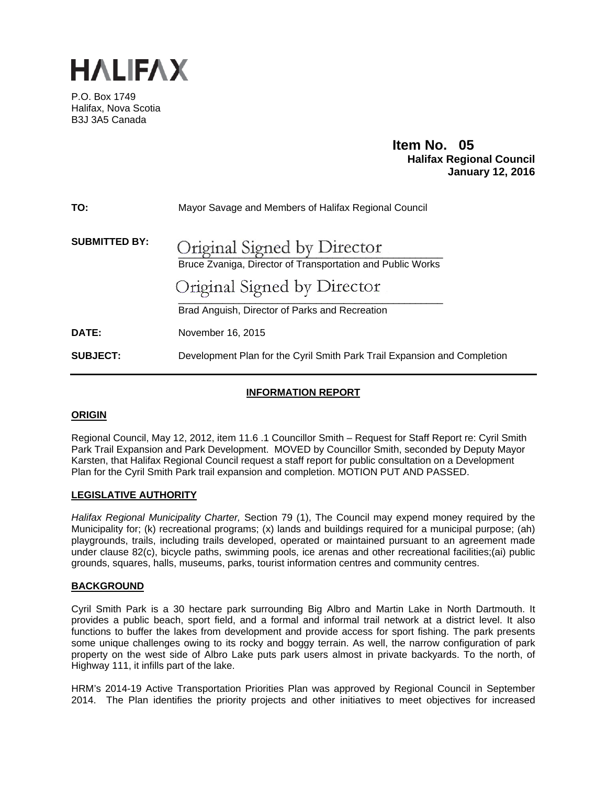

P.O. Box 1749 Halifax, Nova Scotia B3J 3A5 Canada

# **Item No. 05**<br>**Halifax Regional Council January 12, 2016**

| TO:                  | Mayor Savage and Members of Halifax Regional Council                                                                                                                       |
|----------------------|----------------------------------------------------------------------------------------------------------------------------------------------------------------------------|
| <b>SUBMITTED BY:</b> | Original Signed by Director<br>Bruce Zvaniga, Director of Transportation and Public Works<br>Original Signed by Director<br>Brad Anguish, Director of Parks and Recreation |
| DATE:                | November 16, 2015                                                                                                                                                          |
| <b>SUBJECT:</b>      | Development Plan for the Cyril Smith Park Trail Expansion and Completion                                                                                                   |

## **INFORMATION REPORT**

## **ORIGIN**

Regional Council, May 12, 2012, item 11.6 .1 Councillor Smith – Request for Staff Report re: Cyril Smith Park Trail Expansion and Park Development. MOVED by Councillor Smith, seconded by Deputy Mayor Karsten, that Halifax Regional Council request a staff report for public consultation on a Development Plan for the Cyril Smith Park trail expansion and completion. MOTION PUT AND PASSED.

## **LEGISLATIVE AUTHORITY**

*Halifax Regional Municipality Charter,* Section 79 (1), The Council may expend money required by the Municipality for; (k) recreational programs; (x) lands and buildings required for a municipal purpose; (ah) playgrounds, trails, including trails developed, operated or maintained pursuant to an agreement made under clause 82(c), bicycle paths, swimming pools, ice arenas and other recreational facilities;(ai) public grounds, squares, halls, museums, parks, tourist information centres and community centres.

#### **BACKGROUND**

Cyril Smith Park is a 30 hectare park surrounding Big Albro and Martin Lake in North Dartmouth. It provides a public beach, sport field, and a formal and informal trail network at a district level. It also functions to buffer the lakes from development and provide access for sport fishing. The park presents some unique challenges owing to its rocky and boggy terrain. As well, the narrow configuration of park property on the west side of Albro Lake puts park users almost in private backyards. To the north, of Highway 111, it infills part of the lake.

HRM's 2014-19 Active Transportation Priorities Plan was approved by Regional Council in September 2014. The Plan identifies the priority projects and other initiatives to meet objectives for increased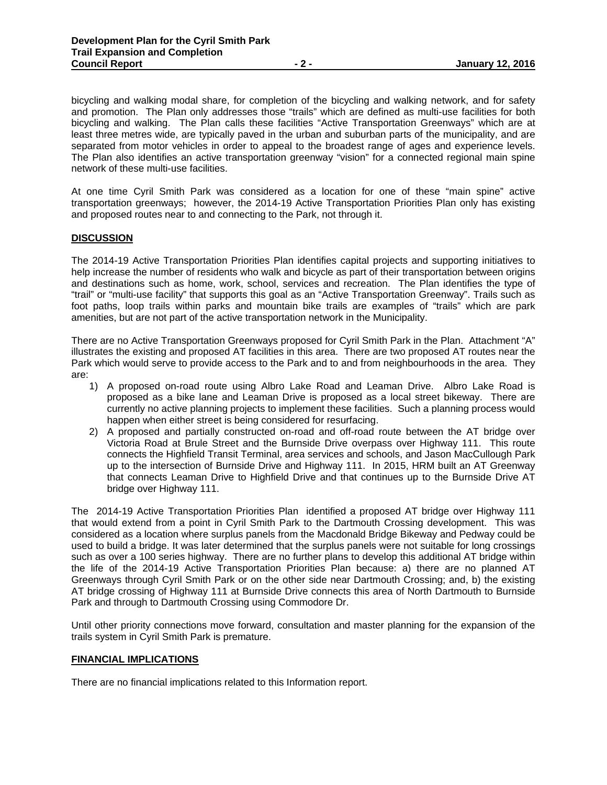bicycling and walking modal share, for completion of the bicycling and walking network, and for safety and promotion. The Plan only addresses those "trails" which are defined as multi-use facilities for both bicycling and walking. The Plan calls these facilities "Active Transportation Greenways" which are at least three metres wide, are typically paved in the urban and suburban parts of the municipality, and are separated from motor vehicles in order to appeal to the broadest range of ages and experience levels. The Plan also identifies an active transportation greenway "vision" for a connected regional main spine network of these multi-use facilities.

At one time Cyril Smith Park was considered as a location for one of these "main spine" active transportation greenways; however, the 2014-19 Active Transportation Priorities Plan only has existing and proposed routes near to and connecting to the Park, not through it.

#### **DISCUSSION**

The 2014-19 Active Transportation Priorities Plan identifies capital projects and supporting initiatives to help increase the number of residents who walk and bicycle as part of their transportation between origins and destinations such as home, work, school, services and recreation. The Plan identifies the type of "trail" or "multi-use facility" that supports this goal as an "Active Transportation Greenway". Trails such as foot paths, loop trails within parks and mountain bike trails are examples of "trails" which are park amenities, but are not part of the active transportation network in the Municipality.

There are no Active Transportation Greenways proposed for Cyril Smith Park in the Plan. Attachment "A" illustrates the existing and proposed AT facilities in this area. There are two proposed AT routes near the Park which would serve to provide access to the Park and to and from neighbourhoods in the area. They are:

- 1) A proposed on-road route using Albro Lake Road and Leaman Drive. Albro Lake Road is proposed as a bike lane and Leaman Drive is proposed as a local street bikeway. There are currently no active planning projects to implement these facilities. Such a planning process would happen when either street is being considered for resurfacing.
- 2) A proposed and partially constructed on-road and off-road route between the AT bridge over Victoria Road at Brule Street and the Burnside Drive overpass over Highway 111. This route connects the Highfield Transit Terminal, area services and schools, and Jason MacCullough Park up to the intersection of Burnside Drive and Highway 111. In 2015, HRM built an AT Greenway that connects Leaman Drive to Highfield Drive and that continues up to the Burnside Drive AT bridge over Highway 111.

The 2014-19 Active Transportation Priorities Plan identified a proposed AT bridge over Highway 111 that would extend from a point in Cyril Smith Park to the Dartmouth Crossing development. This was considered as a location where surplus panels from the Macdonald Bridge Bikeway and Pedway could be used to build a bridge. It was later determined that the surplus panels were not suitable for long crossings such as over a 100 series highway. There are no further plans to develop this additional AT bridge within the life of the 2014-19 Active Transportation Priorities Plan because: a) there are no planned AT Greenways through Cyril Smith Park or on the other side near Dartmouth Crossing; and, b) the existing AT bridge crossing of Highway 111 at Burnside Drive connects this area of North Dartmouth to Burnside Park and through to Dartmouth Crossing using Commodore Dr.

Until other priority connections move forward, consultation and master planning for the expansion of the trails system in Cyril Smith Park is premature.

#### **FINANCIAL IMPLICATIONS**

There are no financial implications related to this Information report.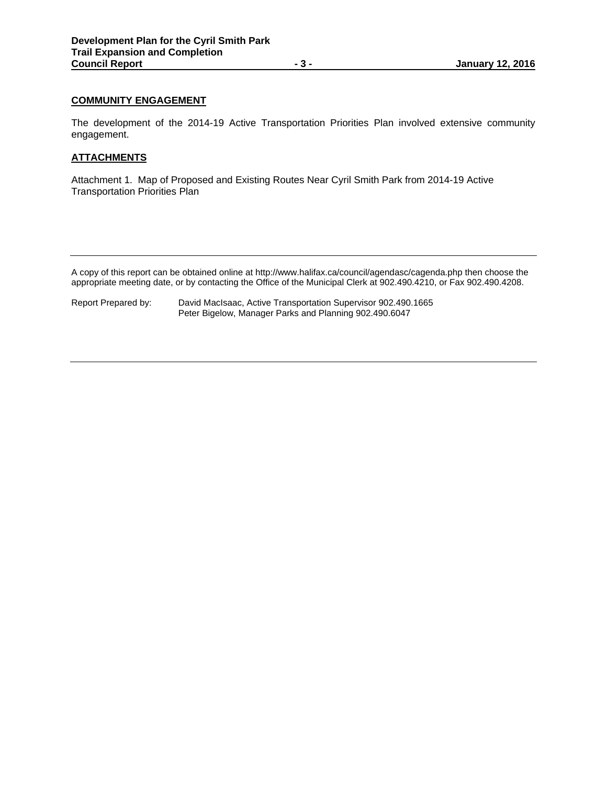## **COMMUNITY ENGAGEMENT**

The development of the 2014-19 Active Transportation Priorities Plan involved extensive community engagement.

#### **ATTACHMENTS**

Attachment 1. Map of Proposed and Existing Routes Near Cyril Smith Park from 2014-19 Active Transportation Priorities Plan

A copy of this report can be obtained online at http://www.halifax.ca/council/agendasc/cagenda.php then choose the appropriate meeting date, or by contacting the Office of the Municipal Clerk at 902.490.4210, or Fax 902.490.4208.

| Report Prepared by: | David MacIsaac, Active Transportation Supervisor 902.490.1665 |
|---------------------|---------------------------------------------------------------|
|                     | Peter Bigelow, Manager Parks and Planning 902.490.6047        |